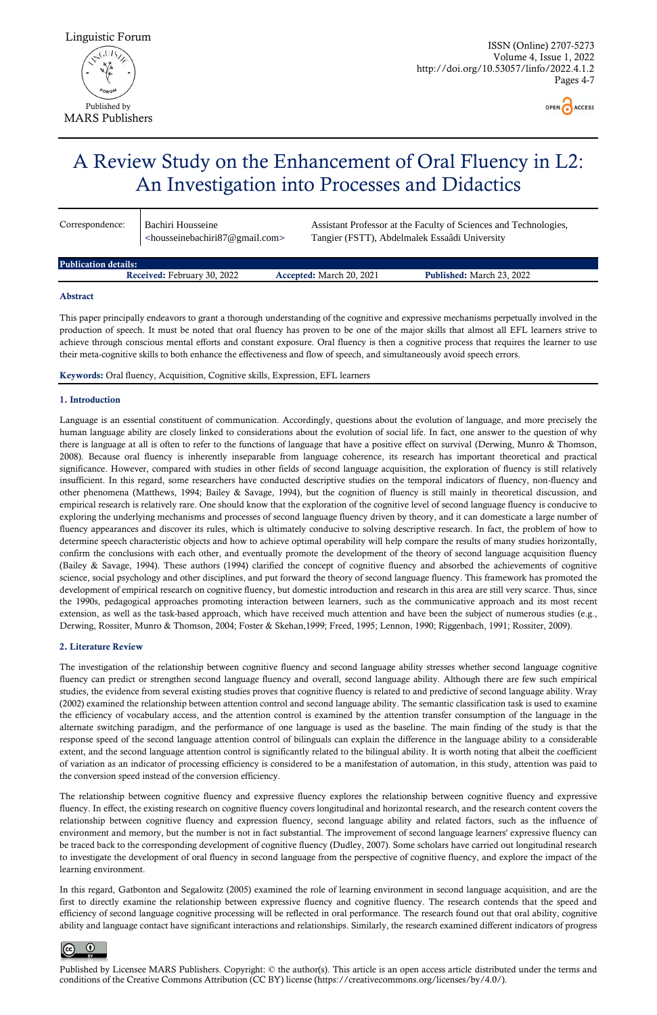ISSN (Online) 2707-5273 Volume 4, Issue 1, 2022 http://doi.org/10.53057/linfo/2022.4.1.2 Pages 4-7





Published by Licensee MARS Publishers. Copyright: © the author(s). This article is an open access article distributed under the terms and conditions of the Creative Commons Attribution (CC BY) license (https://creativecommons.org/licenses/by/4.0/).

# A Review Study on the Enhancement of Oral Fluency in L2: An Investigation into Processes and Didactics

| Correspondence: | Bachiri Housseine<br>$\le$ housseinebachiri $87@$ gmail.com> | Assistant Professor at the Faculty of Sciences and Technologies,<br>Tangier (FSTT), Abdelmalek Essaâdi University |
|-----------------|--------------------------------------------------------------|-------------------------------------------------------------------------------------------------------------------|
|                 |                                                              |                                                                                                                   |

Publication details: Received: February 30, 2022 Accepted: March 20, 2021 Published: March 23, 2022

## Abstract

This paper principally endeavors to grant a thorough understanding of the cognitive and expressive mechanisms perpetually involved in the production of speech. It must be noted that oral fluency has proven to be one of the major skills that almost all EFL learners strive to achieve through conscious mental efforts and constant exposure. Oral fluency is then a cognitive process that requires the learner to use their meta-cognitive skills to both enhance the effectiveness and flow of speech, and simultaneously avoid speech errors.

Keywords: Oral fluency, Acquisition, Cognitive skills, Expression, EFL learners

# 1. Introduction

Language is an essential constituent of communication. Accordingly, questions about the evolution of language, and more precisely the human language ability are closely linked to considerations about the evolution of social life. In fact, one answer to the question of why there is language at all is often to refer to the functions of language that have a positive effect on survival (Derwing, Munro & Thomson, 2008). Because oral fluency is inherently inseparable from language coherence, its research has important theoretical and practical significance. However, compared with studies in other fields of second language acquisition, the exploration of fluency is still relatively insufficient. In this regard, some researchers have conducted descriptive studies on the temporal indicators of fluency, non-fluency and other phenomena (Matthews, 1994; Bailey & Savage, 1994), but the cognition of fluency is still mainly in theoretical discussion, and empirical research is relatively rare. One should know that the exploration of the cognitive level of second language fluency is conducive to exploring the underlying mechanisms and processes of second language fluency driven by theory, and it can domesticate a large number of fluency appearances and discover its rules, which is ultimately conducive to solving descriptive research. In fact, the problem of how to determine speech characteristic objects and how to achieve optimal operability will help compare the results of many studies horizontally, confirm the conclusions with each other, and eventually promote the development of the theory of second language acquisition fluency (Bailey & Savage, 1994). These authors (1994) clarified the concept of cognitive fluency and absorbed the achievements of cognitive science, social psychology and other disciplines, and put forward the theory of second language fluency. This framework has promoted the development of empirical research on cognitive fluency, but domestic introduction and research in this area are still very scarce. Thus, since the 1990s, pedagogical approaches promoting interaction between learners, such as the communicative approach and its most recent extension, as well as the task-based approach, which have received much attention and have been the subject of numerous studies (e.g., Derwing, Rossiter, Munro & Thomson, 2004; Foster & Skehan,1999; Freed, 1995; Lennon, 1990; Riggenbach, 1991; Rossiter, 2009).

# 2. Literature Review

The investigation of the relationship between cognitive fluency and second language ability stresses whether second language cognitive fluency can predict or strengthen second language fluency and overall, second language ability. Although there are few such empirical studies, the evidence from several existing studies proves that cognitive fluency is related to and predictive of second language ability. Wray (2002) examined the relationship between attention control and second language ability. The semantic classification task is used to examine the efficiency of vocabulary access, and the attention control is examined by the attention transfer consumption of the language in the alternate switching paradigm, and the performance of one language is used as the baseline. The main finding of the study is that the response speed of the second language attention control of bilinguals can explain the difference in the language ability to a considerable

extent, and the second language attention control is significantly related to the bilingual ability. It is worth noting that albeit the coefficient of variation as an indicator of processing efficiency is considered to be a manifestation of automation, in this study, attention was paid to the conversion speed instead of the conversion efficiency.

The relationship between cognitive fluency and expressive fluency explores the relationship between cognitive fluency and expressive fluency. In effect, the existing research on cognitive fluency covers longitudinal and horizontal research, and the research content covers the relationship between cognitive fluency and expression fluency, second language ability and related factors, such as the influence of environment and memory, but the number is not in fact substantial. The improvement of second language learners' expressive fluency can be traced back to the corresponding development of cognitive fluency (Dudley, 2007). Some scholars have carried out longitudinal research to investigate the development of oral fluency in second language from the perspective of cognitive fluency, and explore the impact of the learning environment.

In this regard, Gatbonton and Segalowitz (2005) examined the role of learning environment in second language acquisition, and are the first to directly examine the relationship between expressive fluency and cognitive fluency. The research contends that the speed and efficiency of second language cognitive processing will be reflected in oral performance. The research found out that oral ability, cognitive ability and language contact have significant interactions and relationships. Similarly, the research examined different indicators of progress

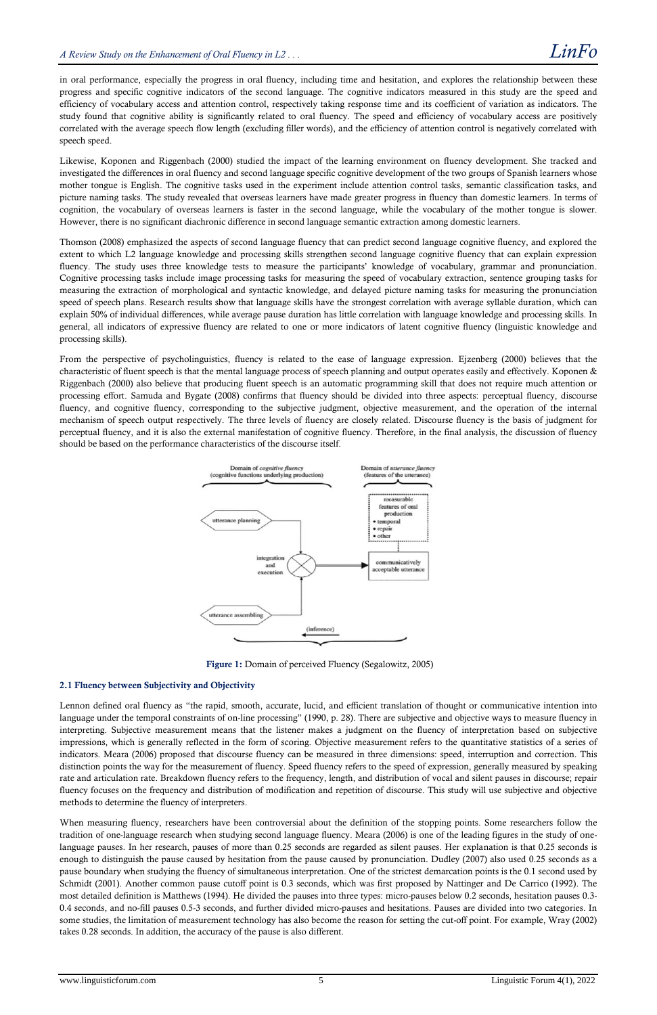in oral performance, especially the progress in oral fluency, including time and hesitation, and explores the relationship between these progress and specific cognitive indicators of the second language. The cognitive indicators measured in this study are the speed and efficiency of vocabulary access and attention control, respectively taking response time and its coefficient of variation as indicators. The study found that cognitive ability is significantly related to oral fluency. The speed and efficiency of vocabulary access are positively correlated with the average speech flow length (excluding filler words), and the efficiency of attention control is negatively correlated with speech speed.

Likewise, Koponen and Riggenbach (2000) studied the impact of the learning environment on fluency development. She tracked and investigated the differences in oral fluency and second language specific cognitive development of the two groups of Spanish learners whose mother tongue is English. The cognitive tasks used in the experiment include attention control tasks, semantic classification tasks, and picture naming tasks. The study revealed that overseas learners have made greater progress in fluency than domestic learners. In terms of cognition, the vocabulary of overseas learners is faster in the second language, while the vocabulary of the mother tongue is slower. However, there is no significant diachronic difference in second language semantic extraction among domestic learners.

Thomson (2008) emphasized the aspects of second language fluency that can predict second language cognitive fluency, and explored the extent to which L2 language knowledge and processing skills strengthen second language cognitive fluency that can explain expression fluency. The study uses three knowledge tests to measure the participants' knowledge of vocabulary, grammar and pronunciation. Cognitive processing tasks include image processing tasks for measuring the speed of vocabulary extraction, sentence grouping tasks for measuring the extraction of morphological and syntactic knowledge, and delayed picture naming tasks for measuring the pronunciation speed of speech plans. Research results show that language skills have the strongest correlation with average syllable duration, which can explain 50% of individual differences, while average pause duration has little correlation with language knowledge and processing skills. In general, all indicators of expressive fluency are related to one or more indicators of latent cognitive fluency (linguistic knowledge and processing skills).

From the perspective of psycholinguistics, fluency is related to the ease of language expression. Ejzenberg (2000) believes that the characteristic of fluent speech is that the mental language process of speech planning and output operates easily and effectively. Koponen & Riggenbach (2000) also believe that producing fluent speech is an automatic programming skill that does not require much attention or processing effort. Samuda and Bygate (2008) confirms that fluency should be divided into three aspects: perceptual fluency, discourse fluency, and cognitive fluency, corresponding to the subjective judgment, objective measurement, and the operation of the internal mechanism of speech output respectively. The three levels of fluency are closely related. Discourse fluency is the basis of judgment for perceptual fluency, and it is also the external manifestation of cognitive fluency. Therefore, in the final analysis, the discussion of fluency should be based on the performance characteristics of the discourse itself.



Figure 1: Domain of perceived Fluency (Segalowitz, 2005)

## 2.1 Fluency between Subjectivity and Objectivity

Lennon defined oral fluency as "the rapid, smooth, accurate, lucid, and efficient translation of thought or communicative intention into language under the temporal constraints of on-line processing" (1990, p. 28). There are subjective and objective ways to measure fluency in interpreting. Subjective measurement means that the listener makes a judgment on the fluency of interpretation based on subjective impressions, which is generally reflected in the form of scoring. Objective measurement refers to the quantitative statistics of a series of indicators. Meara (2006) proposed that discourse fluency can be measured in three dimensions: speed, interruption and correction. This distinction points the way for the measurement of fluency. Speed fluency refers to the speed of expression, generally measured by speaking rate and articulation rate. Breakdown fluency refers to the frequency, length, and distribution of vocal and silent pauses in discourse; repair fluency focuses on the frequency and distribution of modification and repetition of discourse. This study will use subjective and objective methods to determine the fluency of interpreters.

When measuring fluency, researchers have been controversial about the definition of the stopping points. Some researchers follow the tradition of one-language research when studying second language fluency. Meara (2006) is one of the leading figures in the study of onelanguage pauses. In her research, pauses of more than 0.25 seconds are regarded as silent pauses. Her explanation is that 0.25 seconds is enough to distinguish the pause caused by hesitation from the pause caused by pronunciation. Dudley (2007) also used 0.25 seconds as a pause boundary when studying the fluency of simultaneous interpretation. One of the strictest demarcation points is the 0.1 second used by Schmidt (2001). Another common pause cutoff point is 0.3 seconds, which was first proposed by Nattinger and De Carrico (1992). The most detailed definition is Matthews (1994). He divided the pauses into three types: micro-pauses below 0.2 seconds, hesitation pauses 0.3- 0.4 seconds, and no-fill pauses 0.5-3 seconds, and further divided micro-pauses and hesitations. Pauses are divided into two categories. In some studies, the limitation of measurement technology has also become the reason for setting the cut-off point. For example, Wray (2002) takes 0.28 seconds. In addition, the accuracy of the pause is also different.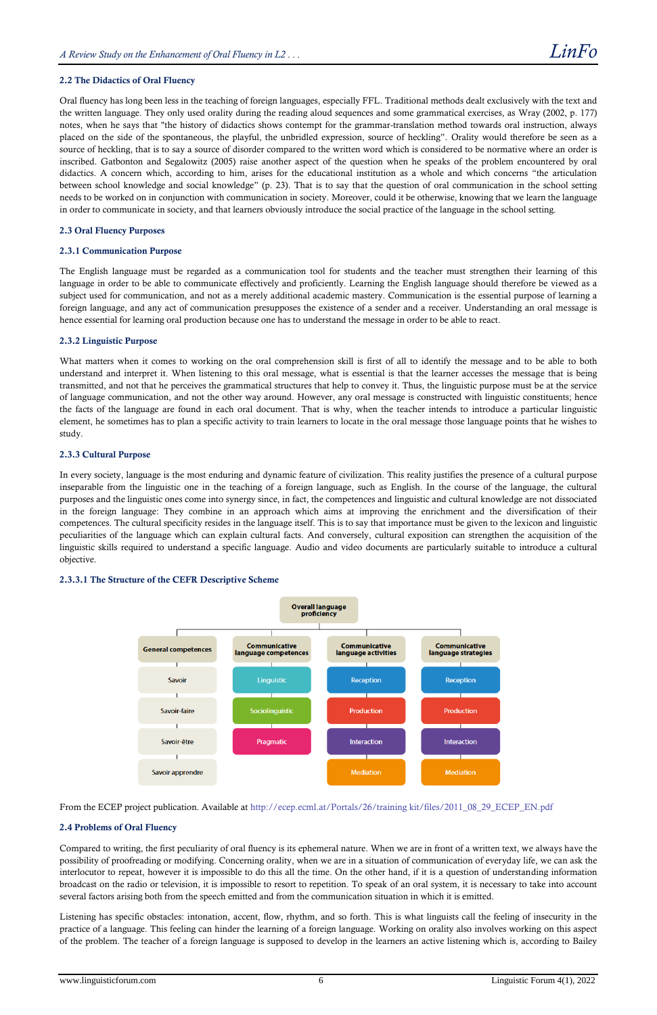# 2.2 The Didactics of Oral Fluency

Oral fluency has long been less in the teaching of foreign languages, especially FFL. Traditional methods dealt exclusively with the text and the written language. They only used orality during the reading aloud sequences and some grammatical exercises, as Wray (2002, p. 177) notes, when he says that "the history of didactics shows contempt for the grammar-translation method towards oral instruction, always placed on the side of the spontaneous, the playful, the unbridled expression, source of heckling". Orality would therefore be seen as a source of heckling, that is to say a source of disorder compared to the written word which is considered to be normative where an order is inscribed. Gatbonton and Segalowitz (2005) raise another aspect of the question when he speaks of the problem encountered by oral didactics. A concern which, according to him, arises for the educational institution as a whole and which concerns "the articulation between school knowledge and social knowledge" (p. 23). That is to say that the question of oral communication in the school setting needs to be worked on in conjunction with communication in society. Moreover, could it be otherwise, knowing that we learn the language in order to communicate in society, and that learners obviously introduce the social practice of the language in the school setting.

## 2.3 Oral Fluency Purposes

#### 2.3.1 Communication Purpose

The English language must be regarded as a communication tool for students and the teacher must strengthen their learning of this language in order to be able to communicate effectively and proficiently. Learning the English language should therefore be viewed as a subject used for communication, and not as a merely additional academic mastery. Communication is the essential purpose of learning a foreign language, and any act of communication presupposes the existence of a sender and a receiver. Understanding an oral message is hence essential for learning oral production because one has to understand the message in order to be able to react.

#### 2.3.2 Linguistic Purpose

What matters when it comes to working on the oral comprehension skill is first of all to identify the message and to be able to both understand and interpret it. When listening to this oral message, what is essential is that the learner accesses the message that is being transmitted, and not that he perceives the grammatical structures that help to convey it. Thus, the linguistic purpose must be at the service of language communication, and not the other way around. However, any oral message is constructed with linguistic constituents; hence the facts of the language are found in each oral document. That is why, when the teacher intends to introduce a particular linguistic element, he sometimes has to plan a specific activity to train learners to locate in the oral message those language points that he wishes to study.

# 2.3.3 Cultural Purpose

In every society, language is the most enduring and dynamic feature of civilization. This reality justifies the presence of a cultural purpose inseparable from the linguistic one in the teaching of a foreign language, such as English. In the course of the language, the cultural purposes and the linguistic ones come into synergy since, in fact, the competences and linguistic and cultural knowledge are not dissociated in the foreign language: They combine in an approach which aims at improving the enrichment and the diversification of their competences. The cultural specificity resides in the language itself. This is to say that importance must be given to the lexicon and linguistic peculiarities of the language which can explain cultural facts. And conversely, cultural exposition can strengthen the acquisition of the linguistic skills required to understand a specific language. Audio and video documents are particularly suitable to introduce a cultural objective.

#### 2.3.3.1 The Structure of the CEFR Descriptive Scheme



From the ECEP project publication. Available at [http://ecep.ecml.at/Portals/26/training kit/files/2011\\_08\\_29\\_ECEP\\_EN.pdf](http://ecep.ecml.at/Portals/26/training%20kit/files/2011_08_29_ECEP_EN.pdf)

# 2.4 Problems of Oral Fluency

Compared to writing, the first peculiarity of oral fluency is its ephemeral nature. When we are in front of a written text, we always have the possibility of proofreading or modifying. Concerning orality, when we are in a situation of communication of everyday life, we can ask the interlocutor to repeat, however it is impossible to do this all the time. On the other hand, if it is a question of understanding information broadcast on the radio or television, it is impossible to resort to repetition. To speak of an oral system, it is necessary to take into account several factors arising both from the speech emitted and from the communication situation in which it is emitted.

Listening has specific obstacles: intonation, accent, flow, rhythm, and so forth. This is what linguists call the feeling of insecurity in the practice of a language. This feeling can hinder the learning of a foreign language. Working on orality also involves working on this aspect of the problem. The teacher of a foreign language is supposed to develop in the learners an active listening which is, according to Bailey